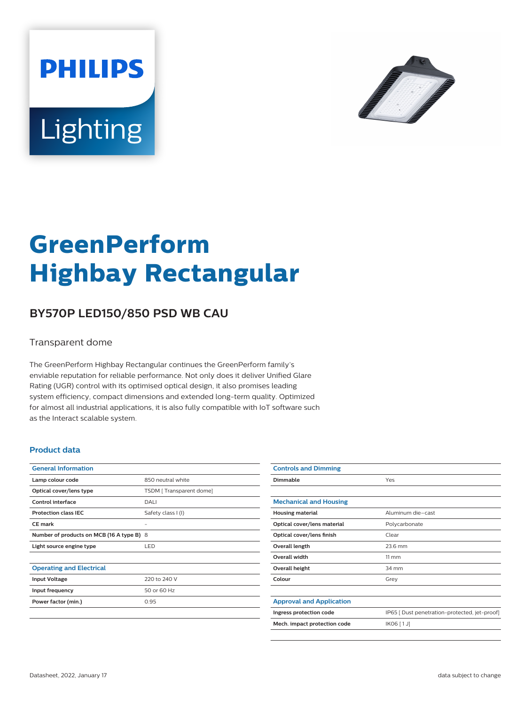



# **GreenPerform Highbay Rectangular**

## **BY570P LED150/850 PSD WB CAU**

#### Transparent dome

The GreenPerform Highbay Rectangular continues the GreenPerform family's enviable reputation for reliable performance. Not only does it deliver Unified Glare Rating (UGR) control with its optimised optical design, it also promises leading system efficiency, compact dimensions and extended long-term quality. Optimized for almost all industrial applications, it is also fully compatible with IoT software such as the Interact scalable system.

#### **Product data**

| <b>General Information</b>                |                         |
|-------------------------------------------|-------------------------|
| Lamp colour code                          | 850 neutral white       |
| Optical cover/lens type                   | TSDM [Transparent dome] |
| Control interface                         | DALI                    |
| <b>Protection class IEC</b>               | Safety class I (I)      |
| CF mark                                   |                         |
| Number of products on MCB (16 A type B) 8 |                         |
| Light source engine type                  | <b>LED</b>              |
|                                           |                         |
| <b>Operating and Electrical</b>           |                         |
| <b>Input Voltage</b>                      | 220 to 240 V            |
| Input frequency                           | 50 or 60 Hz             |
| Power factor (min.)                       | 0.95                    |
|                                           |                         |

| <b>Controls and Dimming</b>     |                                               |
|---------------------------------|-----------------------------------------------|
| Dimmable                        | Yes                                           |
|                                 |                                               |
| <b>Mechanical and Housing</b>   |                                               |
| <b>Housing material</b>         | Aluminum die-cast                             |
| Optical cover/lens material     | Polycarbonate                                 |
| Optical cover/lens finish       | Clear                                         |
| Overall length                  | 23.6 mm                                       |
| <b>Overall width</b>            | $11 \, \mathrm{mm}$                           |
| Overall height                  | 34 mm                                         |
| Colour                          | Grey                                          |
|                                 |                                               |
| <b>Approval and Application</b> |                                               |
| Ingress protection code         | IP65 [ Dust penetration-protected, jet-proof] |
| Mech. impact protection code    | IK06 [1J]                                     |
|                                 |                                               |